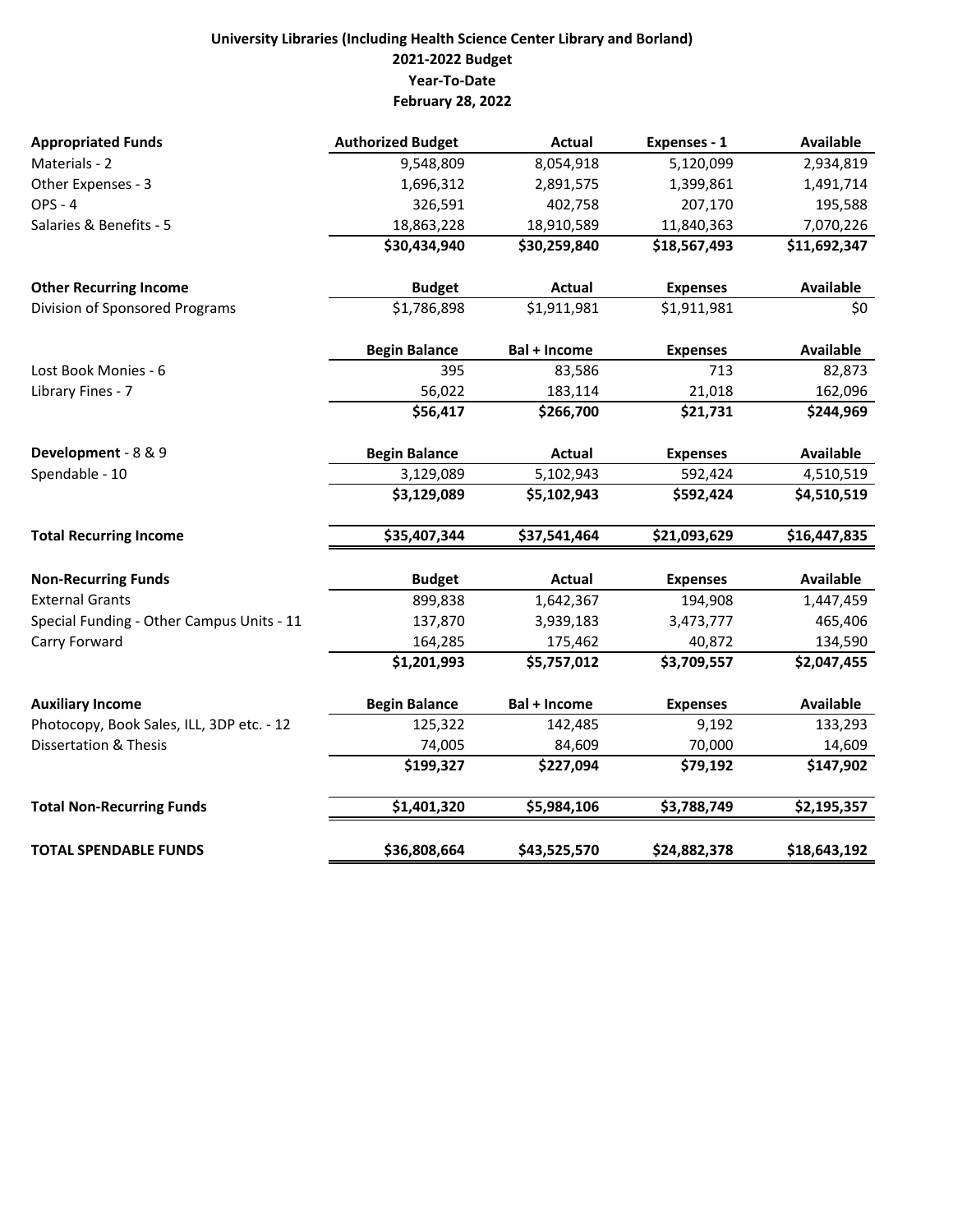## **University Libraries (Including Health Science Center Library and Borland) 2021‐2022 Budget Year‐To‐Date February 28, 2022**

| <b>Appropriated Funds</b>                 | <b>Authorized Budget</b> | <b>Actual</b>       | Expenses - 1    | <b>Available</b> |
|-------------------------------------------|--------------------------|---------------------|-----------------|------------------|
| Materials - 2                             | 9,548,809                | 8,054,918           | 5,120,099       | 2,934,819        |
| Other Expenses - 3                        | 1,696,312                | 2,891,575           | 1,399,861       | 1,491,714        |
| <b>OPS - 4</b>                            | 326,591                  | 402,758             | 207,170         | 195,588          |
| Salaries & Benefits - 5                   | 18,863,228               | 18,910,589          | 11,840,363      | 7,070,226        |
|                                           | \$30,434,940             | \$30,259,840        | \$18,567,493    | \$11,692,347     |
| <b>Other Recurring Income</b>             | <b>Budget</b>            | <b>Actual</b>       | <b>Expenses</b> | <b>Available</b> |
| Division of Sponsored Programs            | \$1,786,898              | \$1,911,981         | \$1,911,981     | \$0              |
|                                           | <b>Begin Balance</b>     | <b>Bal + Income</b> | <b>Expenses</b> | <b>Available</b> |
| Lost Book Monies - 6                      | 395                      | 83,586              | 713             | 82,873           |
| Library Fines - 7                         | 56,022                   | 183,114             | 21,018          | 162,096          |
|                                           | \$56,417                 | \$266,700           | \$21,731        | \$244,969        |
| Development - 8 & 9                       | <b>Begin Balance</b>     | Actual              | <b>Expenses</b> | Available        |
| Spendable - 10                            | 3,129,089                | 5,102,943           | 592,424         | 4,510,519        |
|                                           | \$3,129,089              | \$5,102,943         | \$592,424       | \$4,510,519      |
| <b>Total Recurring Income</b>             | \$35,407,344             | \$37,541,464        | \$21,093,629    | \$16,447,835     |
| <b>Non-Recurring Funds</b>                | <b>Budget</b>            | <b>Actual</b>       | <b>Expenses</b> | <b>Available</b> |
| <b>External Grants</b>                    | 899,838                  | 1,642,367           | 194,908         | 1,447,459        |
| Special Funding - Other Campus Units - 11 | 137,870                  | 3,939,183           | 3,473,777       | 465,406          |
| Carry Forward                             | 164,285                  | 175,462             | 40,872          | 134,590          |
|                                           | \$1,201,993              | \$5,757,012         | \$3,709,557     | \$2,047,455      |
| <b>Auxiliary Income</b>                   | <b>Begin Balance</b>     | <b>Bal + Income</b> | <b>Expenses</b> | <b>Available</b> |
| Photocopy, Book Sales, ILL, 3DP etc. - 12 | 125,322                  | 142,485             | 9,192           | 133,293          |
| <b>Dissertation &amp; Thesis</b>          | 74,005                   | 84,609              | 70,000          | 14,609           |
|                                           | \$199,327                | \$227,094           | \$79,192        | \$147,902        |
| <b>Total Non-Recurring Funds</b>          | \$1,401,320              | \$5,984,106         | \$3,788,749     | \$2,195,357      |
| <b>TOTAL SPENDABLE FUNDS</b>              | \$36,808,664             | \$43,525,570        | \$24,882,378    | \$18,643,192     |